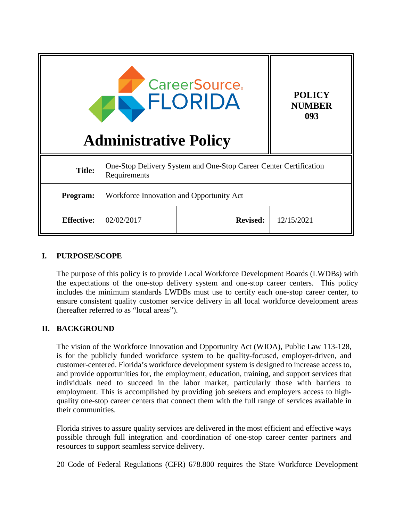| <b>CareerSource.</b><br><b>POLICY</b><br>ELORIDA<br><b>NUMBER</b><br>093<br><b>Administrative Policy</b> |                                                                                   |                 |            |
|----------------------------------------------------------------------------------------------------------|-----------------------------------------------------------------------------------|-----------------|------------|
| <b>Title:</b>                                                                                            | One-Stop Delivery System and One-Stop Career Center Certification<br>Requirements |                 |            |
| Program:                                                                                                 | Workforce Innovation and Opportunity Act                                          |                 |            |
| <b>Effective:</b>                                                                                        | 02/02/2017                                                                        | <b>Revised:</b> | 12/15/2021 |

#### **I. PURPOSE/SCOPE**

The purpose of this policy is to provide Local Workforce Development Boards (LWDBs) with the expectations of the one-stop delivery system and one-stop career centers. This policy includes the minimum standards LWDBs must use to certify each one-stop career center, to ensure consistent quality customer service delivery in all local workforce development areas (hereafter referred to as "local areas").

## **II. BACKGROUND**

The vision of the Workforce Innovation and Opportunity Act (WIOA), Public Law 113-128, is for the publicly funded workforce system to be quality-focused, employer-driven, and customer-centered. Florida's workforce development system is designed to increase access to, and provide opportunities for, the employment, education, training, and support services that individuals need to succeed in the labor market, particularly those with barriers to employment. This is accomplished by providing job seekers and employers access to highquality one-stop career centers that connect them with the full range of services available in their communities.

Florida strives to assure quality services are delivered in the most efficient and effective ways possible through full integration and coordination of one-stop career center partners and resources to support seamless service delivery.

20 Code of Federal Regulations (CFR) 678.800 requires the State Workforce Development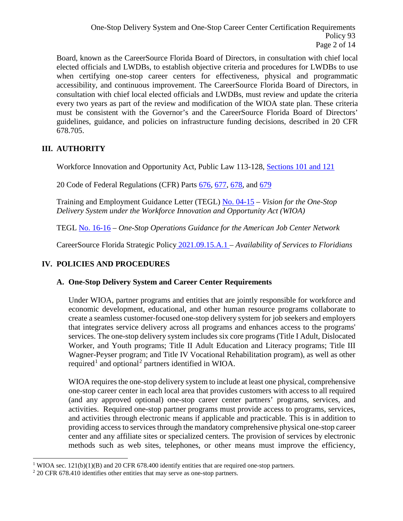Board, known as the CareerSource Florida Board of Directors, in consultation with chief local elected officials and LWDBs, to establish objective criteria and procedures for LWDBs to use when certifying one-stop career centers for effectiveness, physical and programmatic accessibility, and continuous improvement. The CareerSource Florida Board of Directors, in consultation with chief local elected officials and LWDBs, must review and update the criteria every two years as part of the review and modification of the WIOA state plan. These criteria must be consistent with the Governor's and the CareerSource Florida Board of Directors' guidelines, guidance, and policies on infrastructure funding decisions, described in 20 CFR 678.705.

# **III. AUTHORITY**

Workforce Innovation and Opportunity Act, Public Law 113-128, [Sections 101 and 121](https://www.gpo.gov/fdsys/pkg/PLAW-113publ128/pdf/PLAW-113publ128.pdf)

20 Code of Federal Regulations (CFR) Parts [676,](https://www.ecfr.gov/current/title-20/chapter-V/part-676?toc=1) [677,](https://www.ecfr.gov/current/title-20/chapter-V/part-677?toc=1) [678,](https://www.ecfr.gov/current/title-20/chapter-V/part-678?toc=1) and [679](https://www.ecfr.gov/current/title-20/chapter-V/part-679?toc=1)

Training and Employment Guidance Letter (TEGL) [No. 04-15](https://wdr.doleta.gov/directives/corr_doc.cfm?DOCN=6455) – *Vision for the One-Stop Delivery System under the Workforce Innovation and Opportunity Act (WIOA)*

TEGL [No. 16-16](https://wdr.doleta.gov/directives/corr_doc.cfm?DOCN=8772) – *One-Stop Operations Guidance for the American Job Center Network*

CareerSource Florida Strategic Policy 2021.09.15.A.1 – *[Availability of Services to Floridians](https://careersourceflorida.com/wp-content/uploads/2021/09/Availability-of-Services-to-Floridians-Strategic-Policy.pdf)*

# **IV. POLICIES AND PROCEDURES**

# **A. One-Stop Delivery System and Career Center Requirements**

Under WIOA, partner programs and entities that are jointly responsible for workforce and economic development, educational, and other human resource programs collaborate to create a seamless customer-focused one-stop delivery system for job seekers and employers that integrates service delivery across all programs and enhances access to the programs' services. The one-stop delivery system includes six core programs (Title I Adult, Dislocated Worker, and Youth programs; Title II Adult Education and Literacy programs; Title III Wagner-Peyser program; and Title IV Vocational Rehabilitation program), as well as other required<sup>[1](#page-1-0)</sup> and optional<sup>[2](#page-1-1)</sup> partners identified in WIOA.

WIOA requires the one-stop delivery system to include at least one physical, comprehensive one-stop career center in each local area that provides customers with access to all required (and any approved optional) one-stop career center partners' programs, services, and activities. Required one-stop partner programs must provide access to programs, services, and activities through electronic means if applicable and practicable. This is in addition to providing access to services through the mandatory comprehensive physical one-stop career center and any affiliate sites or specialized centers. The provision of services by electronic methods such as web sites, telephones, or other means must improve the efficiency,

<span id="page-1-0"></span><sup>&</sup>lt;sup>1</sup> WIOA sec. 121(b)(1)(B) and 20 CFR 678.400 identify entities that are required one-stop partners.

<span id="page-1-1"></span><sup>&</sup>lt;sup>2</sup> 20 CFR 678.410 identifies other entities that may serve as one-stop partners.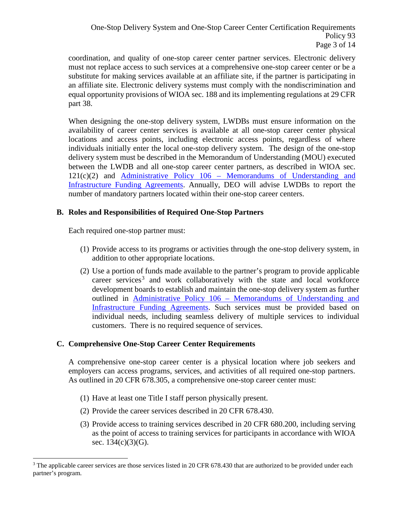coordination, and quality of one-stop career center partner services. Electronic delivery must not replace access to such services at a comprehensive one-stop career center or be a substitute for making services available at an affiliate site, if the partner is participating in an affiliate site. Electronic delivery systems must comply with the nondiscrimination and equal opportunity provisions of WIOA sec. 188 and its implementing regulations at 29 CFR part 38.

When designing the one-stop delivery system, LWDBs must ensure information on the availability of career center services is available at all one-stop career center physical locations and access points, including electronic access points, regardless of where individuals initially enter the local one-stop delivery system. The design of the one-stop delivery system must be described in the Memorandum of Understanding (MOU) executed between the LWDB and all one-stop career center partners, as described in WIOA sec. 121(c)(2) and Administrative Policy 106 – [Memorandums of Understanding and](http://floridajobs.org/local-workforce-development-board-resources/policy-and-guidance/guidance-papers)  [Infrastructure Funding Agreements.](http://floridajobs.org/local-workforce-development-board-resources/policy-and-guidance/guidance-papers) Annually, DEO will advise LWDBs to report the number of mandatory partners located within their one-stop career centers.

## **B. Roles and Responsibilities of Required One-Stop Partners**

Each required one-stop partner must:

- (1) Provide access to its programs or activities through the one-stop delivery system, in addition to other appropriate locations.
- (2) Use a portion of funds made available to the partner's program to provide applicable career services<sup>[3](#page-2-0)</sup> and work collaboratively with the state and local workforce development boards to establish and maintain the one-stop delivery system as further outlined in Administrative Policy 106 – [Memorandums of Understanding and](http://floridajobs.org/local-workforce-development-board-resources/policy-and-guidance/guidance-papers)  [Infrastructure Funding Agreements.](http://floridajobs.org/local-workforce-development-board-resources/policy-and-guidance/guidance-papers) Such services must be provided based on individual needs, including seamless delivery of multiple services to individual customers. There is no required sequence of services.

## **C. Comprehensive One-Stop Career Center Requirements**

A comprehensive one-stop career center is a physical location where job seekers and employers can access programs, services, and activities of all required one-stop partners. As outlined in 20 CFR 678.305, a comprehensive one-stop career center must:

- (1) Have at least one Title I staff person physically present.
- (2) Provide the career services described in 20 CFR 678.430.
- (3) Provide access to training services described in 20 CFR 680.200, including serving as the point of access to training services for participants in accordance with WIOA sec. 134(c)(3)(G).

<span id="page-2-0"></span><sup>&</sup>lt;sup>3</sup> The applicable career services are those services listed in 20 CFR 678.430 that are authorized to be provided under each partner's program.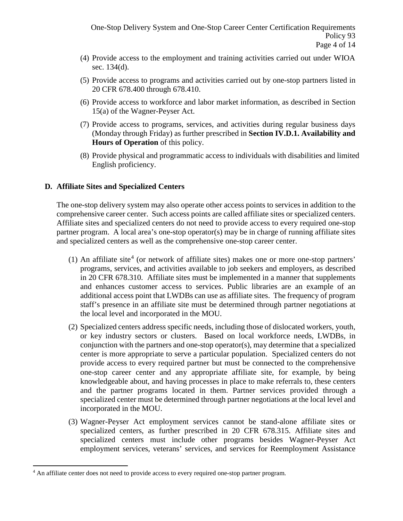- (4) Provide access to the employment and training activities carried out under WIOA sec. 134(d).
- (5) Provide access to programs and activities carried out by one-stop partners listed in 20 CFR 678.400 through 678.410.
- (6) Provide access to workforce and labor market information, as described in Section 15(a) of the Wagner-Peyser Act.
- (7) Provide access to programs, services, and activities during regular business days (Monday through Friday) as further prescribed in **Section IV.D.1. Availability and Hours of Operation** of this policy.
- (8) Provide physical and programmatic access to individuals with disabilities and limited English proficiency.

## **D. Affiliate Sites and Specialized Centers**

The one-stop delivery system may also operate other access points to services in addition to the comprehensive career center. Such access points are called affiliate sites or specialized centers. Affiliate sites and specialized centers do not need to provide access to every required one-stop partner program. A local area's one-stop operator(s) may be in charge of running affiliate sites and specialized centers as well as the comprehensive one-stop career center.

- (1) An affiliate site<sup>[4](#page-3-0)</sup> (or network of affiliate sites) makes one or more one-stop partners' programs, services, and activities available to job seekers and employers, as described in 20 CFR 678.310. Affiliate sites must be implemented in a manner that supplements and enhances customer access to services. Public libraries are an example of an additional access point that LWDBs can use as affiliate sites. The frequency of program staff's presence in an affiliate site must be determined through partner negotiations at the local level and incorporated in the MOU.
- (2) Specialized centers address specific needs, including those of dislocated workers, youth, or key industry sectors or clusters. Based on local workforce needs, LWDBs, in conjunction with the partners and one-stop operator(s), may determine that a specialized center is more appropriate to serve a particular population. Specialized centers do not provide access to every required partner but must be connected to the comprehensive one-stop career center and any appropriate affiliate site, for example, by being knowledgeable about, and having processes in place to make referrals to, these centers and the partner programs located in them. Partner services provided through a specialized center must be determined through partner negotiations at the local level and incorporated in the MOU.
- (3) Wagner-Peyser Act employment services cannot be stand-alone affiliate sites or specialized centers, as further prescribed in 20 CFR 678.315. Affiliate sites and specialized centers must include other programs besides Wagner-Peyser Act employment services, veterans' services, and services for Reemployment Assistance

<span id="page-3-0"></span> <sup>4</sup> An affiliate center does not need to provide access to every required one-stop partner program.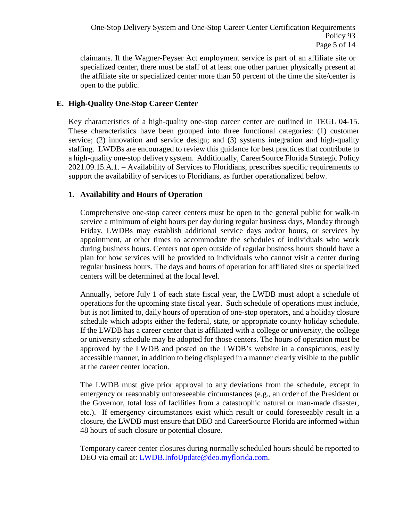claimants. If the Wagner-Peyser Act employment service is part of an affiliate site or specialized center, there must be staff of at least one other partner physically present at the affiliate site or specialized center more than 50 percent of the time the site/center is open to the public.

## **E. High-Quality One-Stop Career Center**

Key characteristics of a high-quality one-stop career center are outlined in TEGL 04-15. These characteristics have been grouped into three functional categories: (1) customer service; (2) innovation and service design; and (3) systems integration and high-quality staffing. LWDBs are encouraged to review this guidance for best practices that contribute to a high-quality one-stop delivery system. Additionally, CareerSource Florida Strategic Policy 2021.09.15.A.1. – Availability of Services to Floridians, prescribes specific requirements to support the availability of services to Floridians, as further operationalized below.

## **1. Availability and Hours of Operation**

Comprehensive one-stop career centers must be open to the general public for walk-in service a minimum of eight hours per day during regular business days, Monday through Friday. LWDBs may establish additional service days and/or hours, or services by appointment, at other times to accommodate the schedules of individuals who work during business hours. Centers not open outside of regular business hours should have a plan for how services will be provided to individuals who cannot visit a center during regular business hours. The days and hours of operation for affiliated sites or specialized centers will be determined at the local level.

Annually, before July 1 of each state fiscal year, the LWDB must adopt a schedule of operations for the upcoming state fiscal year. Such schedule of operations must include, but is not limited to, daily hours of operation of one-stop operators, and a holiday closure schedule which adopts either the federal, state, or appropriate county holiday schedule. If the LWDB has a career center that is affiliated with a college or university, the college or university schedule may be adopted for those centers. The hours of operation must be approved by the LWDB and posted on the LWDB's website in a conspicuous, easily accessible manner, in addition to being displayed in a manner clearly visible to the public at the career center location.

The LWDB must give prior approval to any deviations from the schedule, except in emergency or reasonably unforeseeable circumstances (e.g., an order of the President or the Governor, total loss of facilities from a catastrophic natural or man-made disaster, etc.). If emergency circumstances exist which result or could foreseeably result in a closure, the LWDB must ensure that DEO and CareerSource Florida are informed within 48 hours of such closure or potential closure.

Temporary career center closures during normally scheduled hours should be reported to DEO via email at: [LWDB.InfoUpdate@deo.myflorida.com.](mailto:LWDB.InfoUpdate@deo.myflorida.com)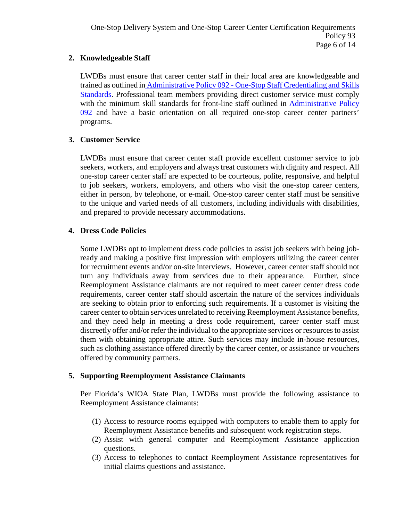## **2. Knowledgeable Staff**

LWDBs must ensure that career center staff in their local area are knowledgeable and trained as outlined in Administrative Policy 092 - One-Stop Staff Credentialing and Skills [Standards.](http://www.floridajobs.org/docs/default-source/2016-guidance-papers/onestopstaffcrdntlngskillstds_fg-osps-92_12-13update.pdf?sfvrsn=2) Professional team members providing direct customer service must comply with the minimum skill standards for front-line staff outlined in Administrative Policy [092 a](http://www.floridajobs.org/docs/default-source/2016-guidance-papers/onestopstaffcrdntlngskillstds_fg-osps-92_12-13update.pdf?sfvrsn=2)nd have a basic orientation on all required one-stop career center partners' programs.

## **3. Customer Service**

LWDBs must ensure that career center staff provide excellent customer service to job seekers, workers, and employers and always treat customers with dignity and respect. All one-stop career center staff are expected to be courteous, polite, responsive, and helpful to job seekers, workers, employers, and others who visit the one-stop career centers, either in person, by telephone, or e-mail. One-stop career center staff must be sensitive to the unique and varied needs of all customers, including individuals with disabilities, and prepared to provide necessary accommodations.

## **4. Dress Code Policies**

Some LWDBs opt to implement dress code policies to assist job seekers with being jobready and making a positive first impression with employers utilizing the career center for recruitment events and/or on-site interviews. However, career center staff should not turn any individuals away from services due to their appearance. Further, since Reemployment Assistance claimants are not required to meet career center dress code requirements, career center staff should ascertain the nature of the services individuals are seeking to obtain prior to enforcing such requirements. If a customer is visiting the career center to obtain services unrelated to receiving Reemployment Assistance benefits, and they need help in meeting a dress code requirement, career center staff must discreetly offer and/or refer the individual to the appropriate services or resources to assist them with obtaining appropriate attire. Such services may include in-house resources, such as clothing assistance offered directly by the career center, or assistance or vouchers offered by community partners.

## **5. Supporting Reemployment Assistance Claimants**

Per Florida's WIOA State Plan, LWDBs must provide the following assistance to Reemployment Assistance claimants:

- (1) Access to resource rooms equipped with computers to enable them to apply for Reemployment Assistance benefits and subsequent work registration steps.
- (2) Assist with general computer and Reemployment Assistance application questions.
- (3) Access to telephones to contact Reemployment Assistance representatives for initial claims questions and assistance.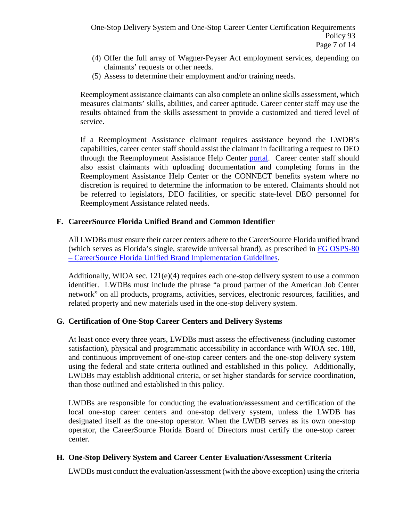- (4) Offer the full array of Wagner-Peyser Act employment services, depending on claimants' requests or other needs.
- (5) Assess to determine their employment and/or training needs.

Reemployment assistance claimants can also complete an online skills assessment, which measures claimants' skills, abilities, and career aptitude. Career center staff may use the results obtained from the skills assessment to provide a customized and tiered level of service.

If a Reemployment Assistance claimant requires assistance beyond the LWDB's capabilities, career center staff should assist the claimant in facilitating a request to DEO through the Reemployment Assistance Help Center [portal.](https://mobile.connect.myflorida.com/prweb/PRAuth/app/DEOReemp/tHGV_g6FQZMSYakWUervaQ*/!STANDARD?pzuiactionrrr=CXtpbn02SzBYRkdmUGJNaEFCRDVrUlRocGJ1dGVWWmoxY1VlaG1PbzlwQjM2MU96MG84bG9JNkhZUndYbnR1c2x0WkltUTBxQUgrWnZhMXVaYmlvTnBOU3ZJUT09*) Career center staff should also assist claimants with uploading documentation and completing forms in the Reemployment Assistance Help Center or the CONNECT benefits system where no discretion is required to determine the information to be entered. Claimants should not be referred to legislators, DEO facilities, or specific state-level DEO personnel for Reemployment Assistance related needs.

## **F. CareerSource Florida Unified Brand and Common Identifier**

All LWDBs must ensure their career centers adhere to the CareerSource Florida unified brand (which serves as Florida's single, statewide universal brand), as prescribed in [FG OSPS-80](http://www.floridajobs.org/PDG/guidancepapers/BrandImplementationGuidelinesFinal.pdf) – [CareerSource Florida Unified Brand Implementation Guidelines.](http://www.floridajobs.org/PDG/guidancepapers/BrandImplementationGuidelinesFinal.pdf)

Additionally, WIOA sec.  $121(e)(4)$  requires each one-stop delivery system to use a common identifier. LWDBs must include the phrase "a proud partner of the American Job Center network" on all products, programs, activities, services, electronic resources, facilities, and related property and new materials used in the one-stop delivery system.

## **G. Certification of One-Stop Career Centers and Delivery Systems**

At least once every three years, LWDBs must assess the effectiveness (including customer satisfaction), physical and programmatic accessibility in accordance with WIOA sec. 188, and continuous improvement of one-stop career centers and the one-stop delivery system using the federal and state criteria outlined and established in this policy. Additionally, LWDBs may establish additional criteria, or set higher standards for service coordination, than those outlined and established in this policy.

LWDBs are responsible for conducting the evaluation/assessment and certification of the local one-stop career centers and one-stop delivery system, unless the LWDB has designated itself as the one-stop operator. When the LWDB serves as its own one-stop operator, the CareerSource Florida Board of Directors must certify the one-stop career center.

## **H. One-Stop Delivery System and Career Center Evaluation/Assessment Criteria**

LWDBs must conduct the evaluation/assessment (with the above exception) using the criteria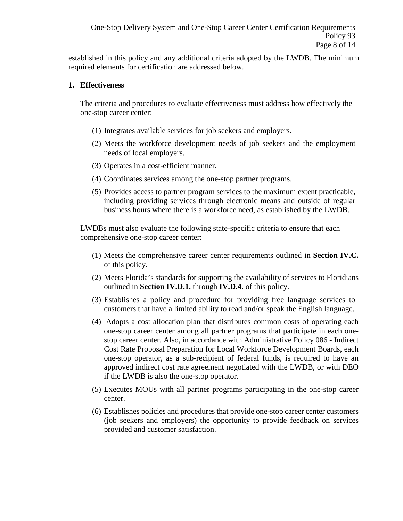established in this policy and any additional criteria adopted by the LWDB. The minimum required elements for certification are addressed below.

#### **1. Effectiveness**

The criteria and procedures to evaluate effectiveness must address how effectively the one-stop career center:

- (1) Integrates available services for job seekers and employers.
- (2) Meets the workforce development needs of job seekers and the employment needs of local employers.
- (3) Operates in a cost-efficient manner.
- (4) Coordinates services among the one-stop partner programs.
- (5) Provides access to partner program services to the maximum extent practicable, including providing services through electronic means and outside of regular business hours where there is a workforce need, as established by the LWDB.

LWDBs must also evaluate the following state-specific criteria to ensure that each comprehensive one-stop career center:

- (1) Meets the comprehensive career center requirements outlined in **Section IV.C.** of this policy.
- (2) Meets Florida's standards for supporting the availability of services to Floridians outlined in **Section IV.D.1.** through **IV.D.4.** of this policy.
- (3) Establishes a policy and procedure for providing free language services to customers that have a limited ability to read and/or speak the English language.
- (4) Adopts a cost allocation plan that distributes common costs of operating each one-stop career center among all partner programs that participate in each onestop career center. Also, in accordance with [Administrative Policy 086 -](http://www.floridajobs.org/docs/default-source/2016-guidance-papers/lwdb_indirectcostadminpolicy_final_-20160805.pdf?sfvrsn=2) Indirect [Cost Rate Proposal Preparation for Local Workforce Development Boards,](http://www.floridajobs.org/docs/default-source/2016-guidance-papers/lwdb_indirectcostadminpolicy_final_-20160805.pdf?sfvrsn=2) each one-stop operator, as a sub-recipient of federal funds, is required to have an approved indirect cost rate agreement negotiated with the LWDB, or with DEO if the LWDB is also the one-stop operator.
- (5) Executes MOUs with all partner programs participating in the one-stop career center.
- (6) Establishes policies and procedures that provide one-stop career center customers (job seekers and employers) the opportunity to provide feedback on services provided and customer satisfaction.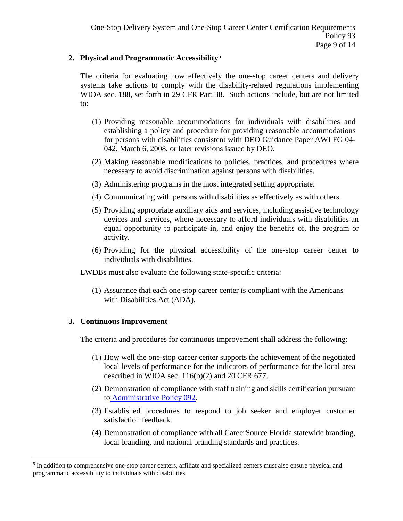#### **2. Physical and Programmatic Accessibility[5](#page-8-0)**

The criteria for evaluating how effectively the one-stop career centers and delivery systems take actions to comply with the disability-related regulations implementing WIOA sec. 188, set forth in 29 CFR Part 38. Such actions include, but are not limited to:

- (1) Providing reasonable accommodations for individuals with disabilities and establishing a policy and procedure for providing reasonable accommodations for persons with disabilities consistent with DEO Guidance Paper AWI FG 04- 042, March 6, 2008, or later revisions issued by DEO.
- (2) Making reasonable modifications to policies, practices, and procedures where necessary to avoid discrimination against persons with disabilities.
- (3) Administering programs in the most integrated setting appropriate.
- (4) Communicating with persons with disabilities as effectively as with others.
- (5) Providing appropriate auxiliary aids and services, including assistive technology devices and services, where necessary to afford individuals with disabilities an equal opportunity to participate in, and enjoy the benefits of, the program or activity.
- (6) Providing for the physical accessibility of the one-stop career center to individuals with disabilities.

LWDBs must also evaluate the following state-specific criteria:

(1) Assurance that each one-stop career center is compliant with the Americans with Disabilities Act (ADA).

## **3. Continuous Improvement**

The criteria and procedures for continuous improvement shall address the following:

- (1) How well the one-stop career center supports the achievement of the negotiated local levels of performance for the indicators of performance for the local area described in WIOA sec. 116(b)(2) and 20 CFR 677.
- (2) Demonstration of compliance with staff training and skills certification pursuant to [Administrative Policy 092.](http://www.floridajobs.org/docs/default-source/2016-guidance-papers/onestopstaffcrdntlngskillstds_fg-osps-92_12-13update.pdf?sfvrsn=2)
- (3) Established procedures to respond to job seeker and employer customer satisfaction feedback.
- (4) Demonstration of compliance with all CareerSource Florida statewide branding, local branding, and national branding standards and practices.

<span id="page-8-0"></span><sup>&</sup>lt;sup>5</sup> In addition to comprehensive one-stop career centers, affiliate and specialized centers must also ensure physical and programmatic accessibility to individuals with disabilities.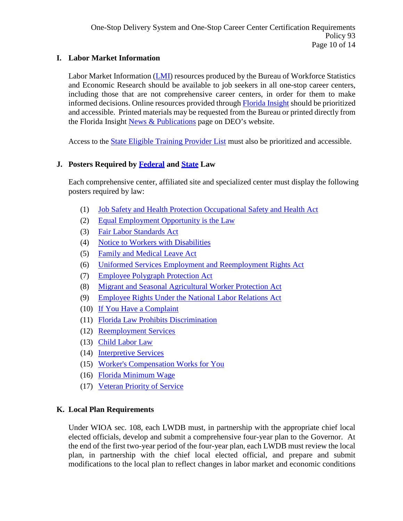## **I. Labor Market Information**

Labor Market Information [\(LMI\)](http://www.floridajobs.org/labor-market-information/publications-and-reports/labor-market-information-publications-and-order-form) resources produced by the Bureau of Workforce Statistics and Economic Research should be available to job seekers in all one-stop career centers, including those that are not comprehensive career centers, in order for them to make informed decisions. Online resources provided through [Florida Insight](http://floridajobs.org/wser-home) should be prioritized and accessible. Printed materials may be requested from the Bureau or printed directly from the Florida Insight [News & Publications](http://floridajobs.org/wser-home/latest-news-publications) page on DEO's website.

Access to the [State Eligible Training Provider List](https://www.employflorida.com/vosnet/Default.aspx) must also be prioritized and accessible.

# **J. Posters Required by [Federal](https://www.dol.gov/general/topics/posters/) and [State](http://www.floridajobs.org/business-growth-and-partnerships/for-employers/display-posters-and-required-notices) Law**

Each comprehensive center, affiliated site and specialized center must display the following posters required by law:

- (1) [Job Safety and Health Protection Occupational Safety and Health Act](https://www.osha.gov/Publications/osha3165.pdf)
- (2) [Equal Employment Opportunity is the Law](https://www.eeoc.gov/employers/eeo-law-poster)
- (3) [Fair Labor Standards Act](https://www.dol.gov/agencies/whd/posters/flsa)
- (4) [Notice to Workers with Disabilities](https://www.dol.gov/whd/regs/compliance/posters/disabc.pdf)
- (5) [Family and Medical Leave Act](https://www.dol.gov/whd/regs/compliance/posters/fmlaen.pdf)
- (6) [Uniformed Services Employment and Reemployment Rights Act](https://www.dol.gov/vets/programs/userra/userra_private.pdf)
- (7) [Employee Polygraph Protection Act](https://www.dol.gov/whd/regs/compliance/posters/eppac.pdf)
- (8) [Migrant and Seasonal Agricultural Worker Protection Act](https://www.dol.gov/whd/regs/compliance/posters/mspaensp.pdf)
- (9) [Employee Rights Under the National Labor Relations Act](https://www.dol.gov/sites/dolgov/files/olms/regs/compliance/eo_posters/employeerightsposter11x17_2019final.pdf)
- (10) [If You Have a Complaint](http://www.floridajobs.org/PDG/postersforpartners/IfYouHaveComplaint.pdf)
- (11) [Florida Law Prohibits Discrimination](https://fchr.myflorida.com/discrimination-poster)
- (12) [Reemployment Services](http://floridarevenue.com/Forms_library/current/rt83.pdf)
- (13) [Child Labor Law](http://www.myfloridalicense.com/dbpr/reg/childlabor/documents/ChildLaborBrochureEnglish_000.pdf)
- (14) [Interpretive Services](http://www.floridajobs.org/PDG/postersforpartners/IS%20Poster%2011x17.pdf)
- (15) [Worker's Compensation Works for You](https://www.myfloridacfo.com/division/wc/publicationsformsmanualsreports/brochures/Broken_Arm_Eng.pdf)
- (16) [Florida Minimum Wage](https://floridajobs.org/business-growth-and-partnerships/for-employers/display-posters-and-required-notices)
- (17) [Veteran Priority of Service](http://floridajobs.org/docs/default-source/lwdb-resources/programs-and-resources/vets/priority-of-service-veteran-poster-i---2021.pdf?sfvrsn=8dbe4eb0_2)

# **K. Local Plan Requirements**

Under WIOA sec. 108, each LWDB must, in partnership with the appropriate chief local elected officials, develop and submit a comprehensive four-year plan to the Governor. At the end of the first two-year period of the four-year plan, each LWDB must review the local plan, in partnership with the chief local elected official, and prepare and submit modifications to the local plan to reflect changes in labor market and economic conditions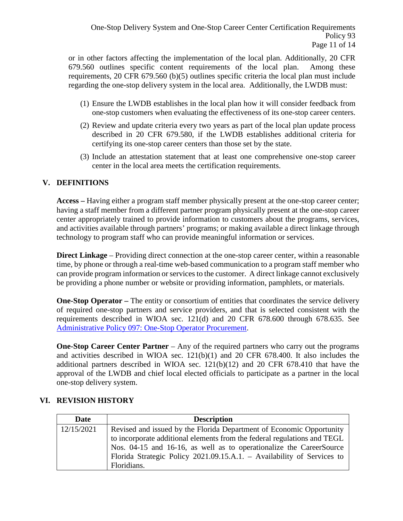or in other factors affecting the implementation of the local plan. Additionally, 20 CFR 679.560 outlines specific content requirements of the local plan. Among these requirements, 20 CFR 679.560 (b)(5) outlines specific criteria the local plan must include regarding the one-stop delivery system in the local area. Additionally, the LWDB must:

- (1) Ensure the LWDB establishes in the local plan how it will consider feedback from one-stop customers when evaluating the effectiveness of its one-stop career centers.
- (2) Review and update criteria every two years as part of the local plan update process described in 20 CFR 679.580, if the LWDB establishes additional criteria for certifying its one-stop career centers than those set by the state.
- (3) Include an attestation statement that at least one comprehensive one-stop career center in the local area meets the certification requirements.

# **V. DEFINITIONS**

**Access –** Having either a program staff member physically present at the one-stop career center; having a staff member from a different partner program physically present at the one-stop career center appropriately trained to provide information to customers about the programs, services, and activities available through partners' programs; or making available a direct linkage through technology to program staff who can provide meaningful information or services.

**Direct Linkage** – Providing direct connection at the one-stop career center, within a reasonable time, by phone or through a real-time web-based communication to a program staff member who can provide program information or services to the customer. A direct linkage cannot exclusively be providing a phone number or website or providing information, pamphlets, or materials.

**One-Stop Operator** – The entity or consortium of entities that coordinates the service delivery of required one-stop partners and service providers, and that is selected consistent with the requirements described in WIOA sec. 121(d) and 20 CFR 678.600 through 678.635. See [Administrative Policy 097: One-Stop Operator Procurement.](http://floridajobs.org/docs/default-source/lwdb-resources/policy-and-guidance/guidance-papers/2017-guidance-papers/adminpol097_onestopprocurement_final_9252017.pdf?sfvrsn=2acd72b0_6)

**One-Stop Career Center Partner** – Any of the required partners who carry out the programs and activities described in WIOA sec. 121(b)(1) and 20 CFR 678.400. It also includes the additional partners described in WIOA sec. 121(b)(12) and 20 CFR 678.410 that have the approval of the LWDB and chief local elected officials to participate as a partner in the local one-stop delivery system.

# **VI. REVISION HISTORY**

| Date       | <b>Description</b>                                                       |
|------------|--------------------------------------------------------------------------|
| 12/15/2021 | Revised and issued by the Florida Department of Economic Opportunity     |
|            | to incorporate additional elements from the federal regulations and TEGL |
|            | Nos. 04-15 and 16-16, as well as to operationalize the CareerSource      |
|            | Florida Strategic Policy 2021.09.15.A.1. - Availability of Services to   |
|            | Floridians.                                                              |